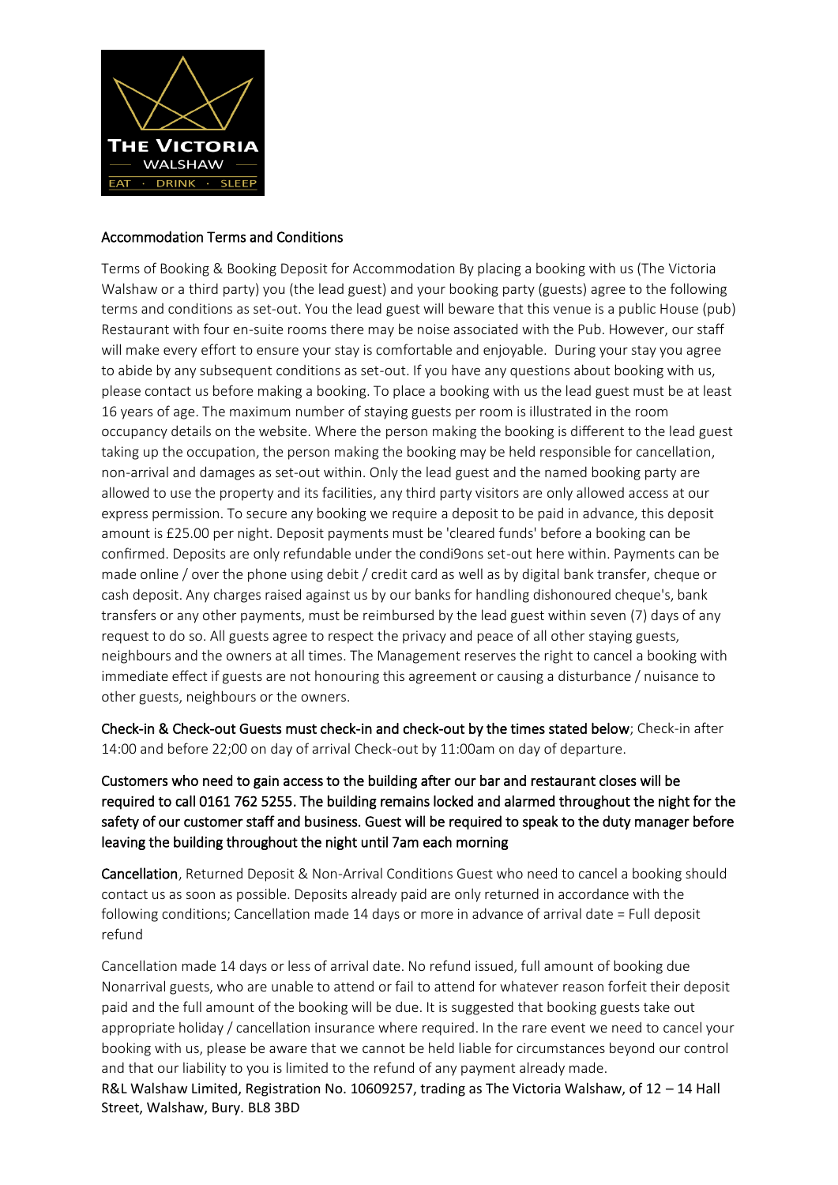

#### Accommodation Terms and Conditions

Terms of Booking & Booking Deposit for Accommodation By placing a booking with us (The Victoria Walshaw or a third party) you (the lead guest) and your booking party (guests) agree to the following terms and conditions as set-out. You the lead guest will beware that this venue is a public House (pub) Restaurant with four en-suite rooms there may be noise associated with the Pub. However, our staff will make every effort to ensure your stay is comfortable and enjoyable. During your stay you agree to abide by any subsequent conditions as set-out. If you have any questions about booking with us, please contact us before making a booking. To place a booking with us the lead guest must be at least 16 years of age. The maximum number of staying guests per room is illustrated in the room occupancy details on the website. Where the person making the booking is different to the lead guest taking up the occupation, the person making the booking may be held responsible for cancellation, non-arrival and damages as set-out within. Only the lead guest and the named booking party are allowed to use the property and its facilities, any third party visitors are only allowed access at our express permission. To secure any booking we require a deposit to be paid in advance, this deposit amount is £25.00 per night. Deposit payments must be 'cleared funds' before a booking can be confirmed. Deposits are only refundable under the condi9ons set-out here within. Payments can be made online / over the phone using debit / credit card as well as by digital bank transfer, cheque or cash deposit. Any charges raised against us by our banks for handling dishonoured cheque's, bank transfers or any other payments, must be reimbursed by the lead guest within seven (7) days of any request to do so. All guests agree to respect the privacy and peace of all other staying guests, neighbours and the owners at all times. The Management reserves the right to cancel a booking with immediate effect if guests are not honouring this agreement or causing a disturbance / nuisance to other guests, neighbours or the owners.

Check-in & Check-out Guests must check-in and check-out by the times stated below; Check-in after 14:00 and before 22;00 on day of arrival Check-out by 11:00am on day of departure.

Customers who need to gain access to the building after our bar and restaurant closes will be required to call 0161 762 5255. The building remains locked and alarmed throughout the night for the safety of our customer staff and business. Guest will be required to speak to the duty manager before leaving the building throughout the night until 7am each morning

Cancellation, Returned Deposit & Non-Arrival Conditions Guest who need to cancel a booking should contact us as soon as possible. Deposits already paid are only returned in accordance with the following conditions; Cancellation made 14 days or more in advance of arrival date = Full deposit refund

R&L Walshaw Limited, Registration No. 10609257, trading as The Victoria Walshaw, of 12 – 14 Hall Street, Walshaw, Bury. BL8 3BD Cancellation made 14 days or less of arrival date. No refund issued, full amount of booking due Nonarrival guests, who are unable to attend or fail to attend for whatever reason forfeit their deposit paid and the full amount of the booking will be due. It is suggested that booking guests take out appropriate holiday / cancellation insurance where required. In the rare event we need to cancel your booking with us, please be aware that we cannot be held liable for circumstances beyond our control and that our liability to you is limited to the refund of any payment already made.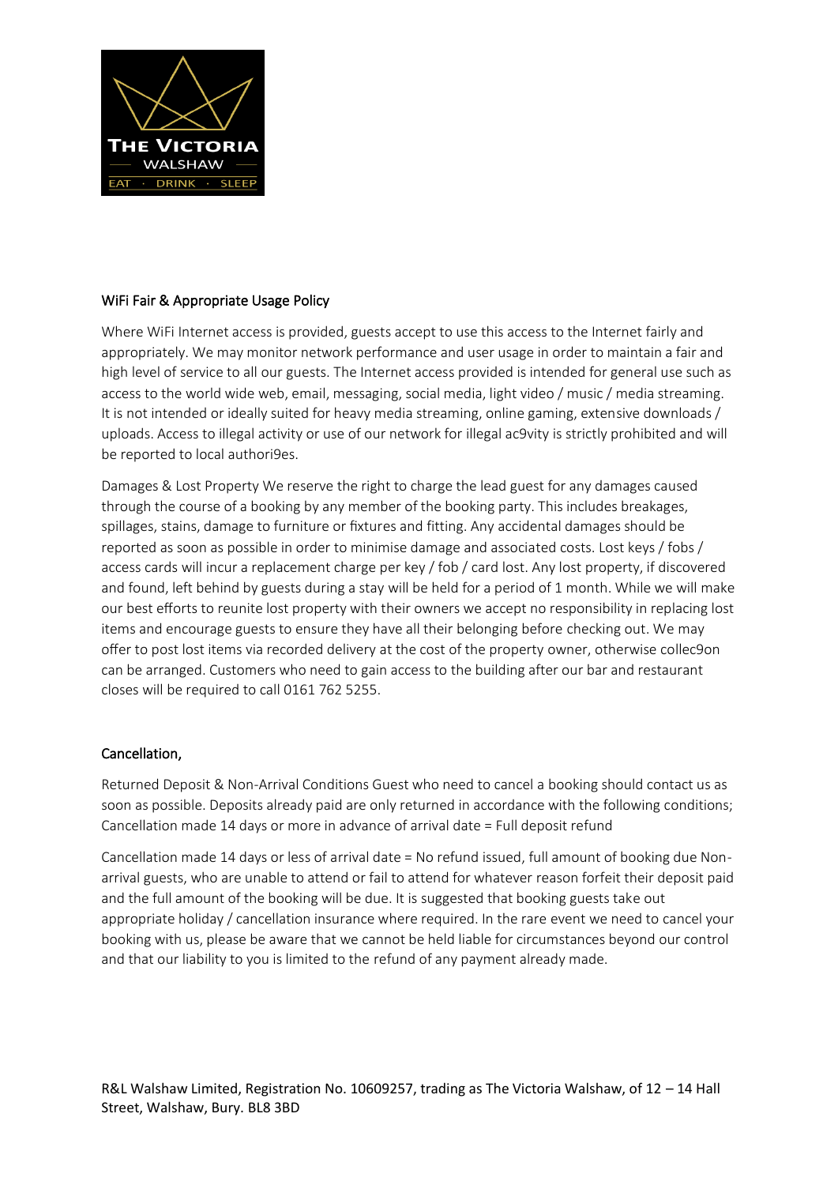

# WiFi Fair & Appropriate Usage Policy

Where WiFi Internet access is provided, guests accept to use this access to the Internet fairly and appropriately. We may monitor network performance and user usage in order to maintain a fair and high level of service to all our guests. The Internet access provided is intended for general use such as access to the world wide web, email, messaging, social media, light video / music / media streaming. It is not intended or ideally suited for heavy media streaming, online gaming, extensive downloads / uploads. Access to illegal activity or use of our network for illegal ac9vity is strictly prohibited and will be reported to local authori9es.

Damages & Lost Property We reserve the right to charge the lead guest for any damages caused through the course of a booking by any member of the booking party. This includes breakages, spillages, stains, damage to furniture or fixtures and fitting. Any accidental damages should be reported as soon as possible in order to minimise damage and associated costs. Lost keys / fobs / access cards will incur a replacement charge per key / fob / card lost. Any lost property, if discovered and found, left behind by guests during a stay will be held for a period of 1 month. While we will make our best efforts to reunite lost property with their owners we accept no responsibility in replacing lost items and encourage guests to ensure they have all their belonging before checking out. We may offer to post lost items via recorded delivery at the cost of the property owner, otherwise collec9on can be arranged. Customers who need to gain access to the building after our bar and restaurant closes will be required to call 0161 762 5255.

# Cancellation,

Returned Deposit & Non-Arrival Conditions Guest who need to cancel a booking should contact us as soon as possible. Deposits already paid are only returned in accordance with the following conditions; Cancellation made 14 days or more in advance of arrival date = Full deposit refund

Cancellation made 14 days or less of arrival date = No refund issued, full amount of booking due Nonarrival guests, who are unable to attend or fail to attend for whatever reason forfeit their deposit paid and the full amount of the booking will be due. It is suggested that booking guests take out appropriate holiday / cancellation insurance where required. In the rare event we need to cancel your booking with us, please be aware that we cannot be held liable for circumstances beyond our control and that our liability to you is limited to the refund of any payment already made.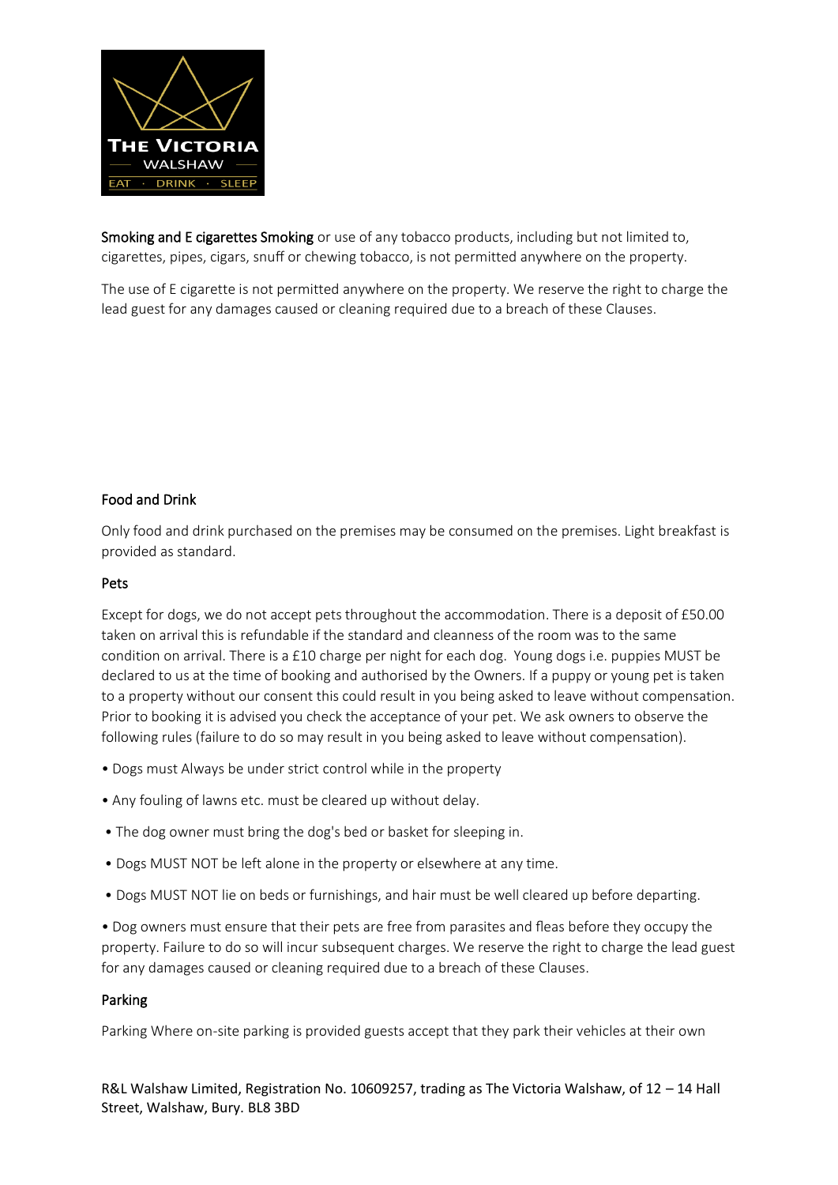

Smoking and E cigarettes Smoking or use of any tobacco products, including but not limited to, cigarettes, pipes, cigars, snuff or chewing tobacco, is not permitted anywhere on the property.

The use of E cigarette is not permitted anywhere on the property. We reserve the right to charge the lead guest for any damages caused or cleaning required due to a breach of these Clauses.

# Food and Drink

Only food and drink purchased on the premises may be consumed on the premises. Light breakfast is provided as standard.

#### Pets

Except for dogs, we do not accept pets throughout the accommodation. There is a deposit of £50.00 taken on arrival this is refundable if the standard and cleanness of the room was to the same condition on arrival. There is a £10 charge per night for each dog. Young dogs i.e. puppies MUST be declared to us at the time of booking and authorised by the Owners. If a puppy or young pet is taken to a property without our consent this could result in you being asked to leave without compensation. Prior to booking it is advised you check the acceptance of your pet. We ask owners to observe the following rules (failure to do so may result in you being asked to leave without compensation).

- Dogs must Always be under strict control while in the property
- Any fouling of lawns etc. must be cleared up without delay.
- The dog owner must bring the dog's bed or basket for sleeping in.
- Dogs MUST NOT be left alone in the property or elsewhere at any time.
- Dogs MUST NOT lie on beds or furnishings, and hair must be well cleared up before departing.

• Dog owners must ensure that their pets are free from parasites and fleas before they occupy the property. Failure to do so will incur subsequent charges. We reserve the right to charge the lead guest for any damages caused or cleaning required due to a breach of these Clauses.

# Parking

Parking Where on-site parking is provided guests accept that they park their vehicles at their own

R&L Walshaw Limited, Registration No. 10609257, trading as The Victoria Walshaw, of 12 – 14 Hall Street, Walshaw, Bury. BL8 3BD